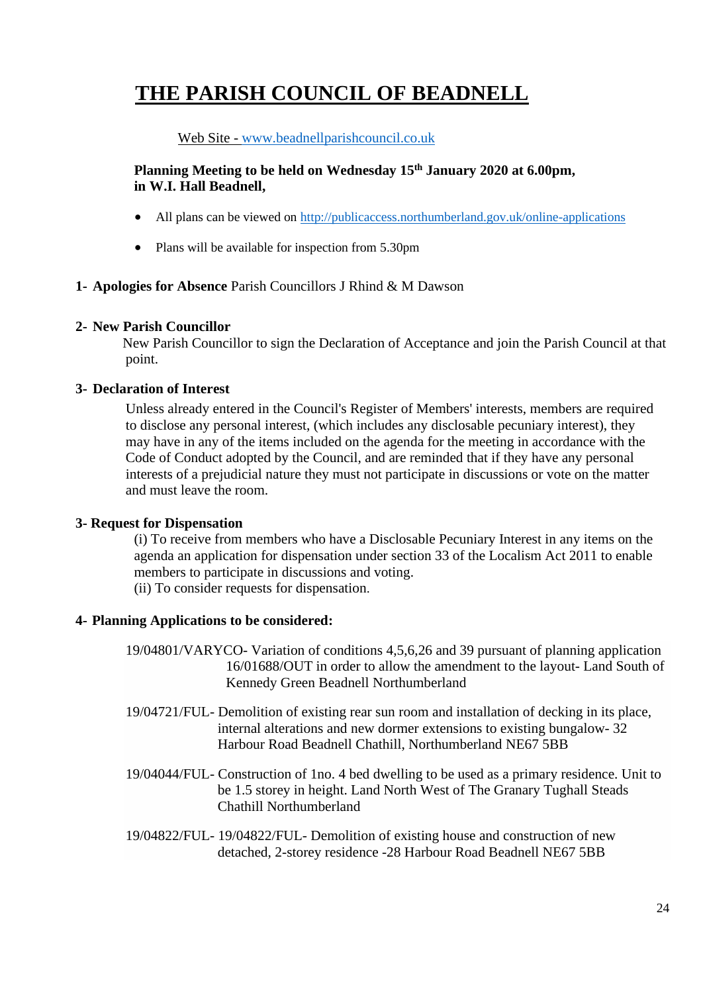# **THE PARISH COUNCIL OF BEADNELL**

## Web Site - [www.beadnellparishcouncil.co.uk](http://www.beadnellparishcouncil.co.uk/)

## **Planning Meeting to be held on Wednesday 15th January 2020 at 6.00pm, in W.I. Hall Beadnell,**

- All plans can be viewed on <http://publicaccess.northumberland.gov.uk/online-applications>
- Plans will be available for inspection from 5.30pm
- **1- Apologies for Absence** Parish Councillors J Rhind & M Dawson

#### **2- New Parish Councillor**

New Parish Councillor to sign the Declaration of Acceptance and join the Parish Council at that point.

#### **3- Declaration of Interest**

Unless already entered in the Council's Register of Members' interests, members are required to disclose any personal interest, (which includes any disclosable pecuniary interest), they may have in any of the items included on the agenda for the meeting in accordance with the Code of Conduct adopted by the Council, and are reminded that if they have any personal interests of a prejudicial nature they must not participate in discussions or vote on the matter and must leave the room.

#### **3- Request for Dispensation**

(i) To receive from members who have a Disclosable Pecuniary Interest in any items on the agenda an application for dispensation under section 33 of the Localism Act 2011 to enable members to participate in discussions and voting.

(ii) To consider requests for dispensation.

#### **4- Planning Applications to be considered:**

- 19/04801/VARYCO- Variation of conditions 4,5,6,26 and 39 pursuant of planning application 16/01688/OUT in order to allow the amendment to the layout- Land South of Kennedy Green Beadnell Northumberland
- 19/04721/FUL- Demolition of existing rear sun room and installation of decking in its place, internal alterations and new dormer extensions to existing bungalow- 32 Harbour Road Beadnell Chathill, Northumberland NE67 5BB
- 19/04044/FUL- Construction of 1no. 4 bed dwelling to be used as a primary residence. Unit to be 1.5 storey in height. Land North West of The Granary Tughall Steads Chathill Northumberland
- 19/04822/FUL- 19/04822/FUL- Demolition of existing house and construction of new detached, 2-storey residence -28 Harbour Road Beadnell NE67 5BB